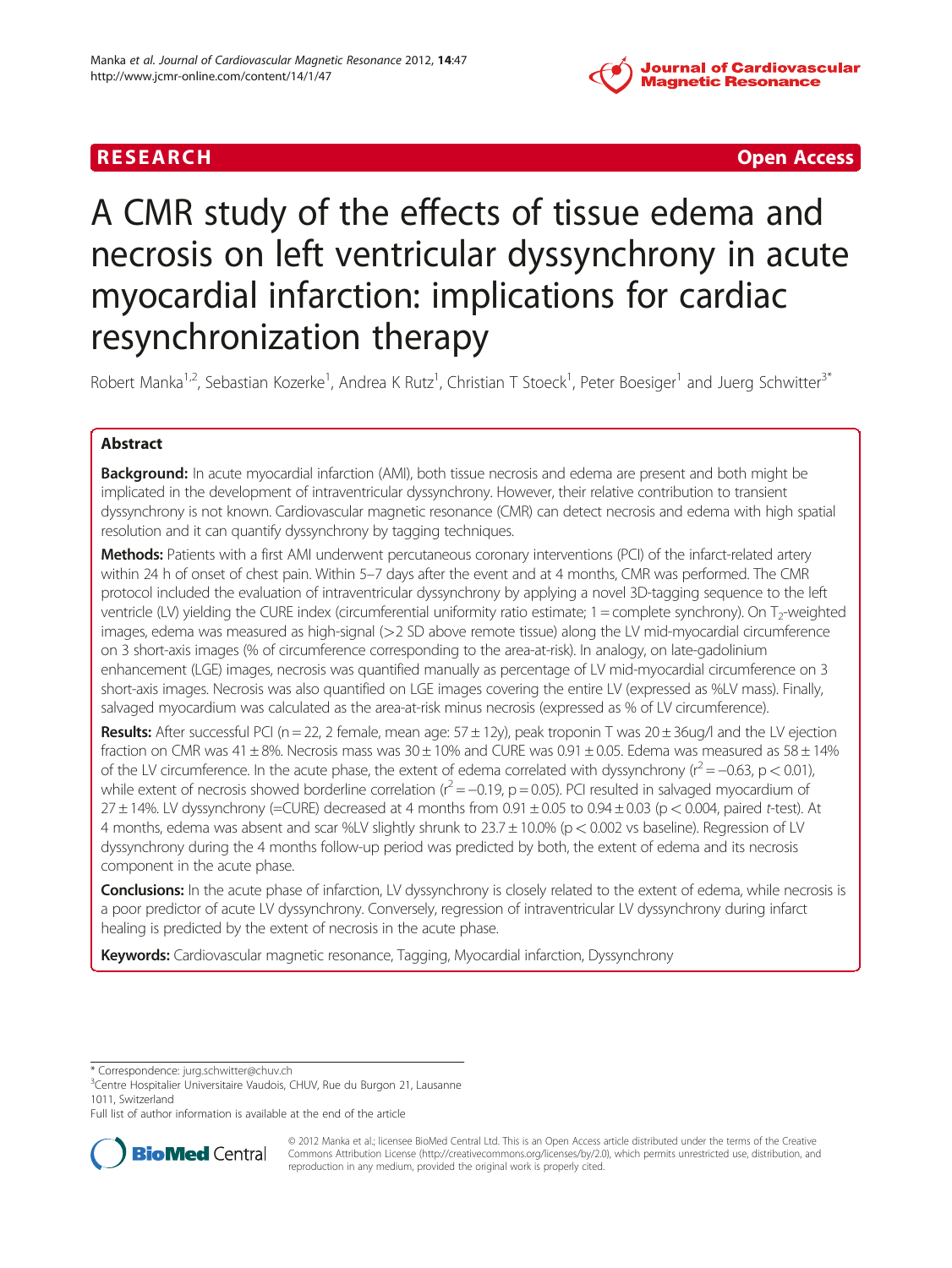# **RESEARCH CHINESE ARCH CHINESE ARCHITECT AND INCORPORATION CONTINUES.**

# A CMR study of the effects of tissue edema and necrosis on left ventricular dyssynchrony in acute myocardial infarction: implications for cardiac resynchronization therapy

Robert Manka<sup>1,2</sup>, Sebastian Kozerke<sup>1</sup>, Andrea K Rutz<sup>1</sup>, Christian T Stoeck<sup>1</sup>, Peter Boesiger<sup>1</sup> and Juerg Schwitter<sup>3\*</sup>

## Abstract

**Background:** In acute myocardial infarction (AMI), both tissue necrosis and edema are present and both might be implicated in the development of intraventricular dyssynchrony. However, their relative contribution to transient dyssynchrony is not known. Cardiovascular magnetic resonance (CMR) can detect necrosis and edema with high spatial resolution and it can quantify dyssynchrony by tagging techniques.

Methods: Patients with a first AMI underwent percutaneous coronary interventions (PCI) of the infarct-related artery within 24 h of onset of chest pain. Within 5–7 days after the event and at 4 months, CMR was performed. The CMR protocol included the evaluation of intraventricular dyssynchrony by applying a novel 3D-tagging sequence to the left ventricle (LV) yielding the CURE index (circumferential uniformity ratio estimate;  $1 =$  complete synchrony). On  $T_2$ -weighted images, edema was measured as high-signal (>2 SD above remote tissue) along the LV mid-myocardial circumference on 3 short-axis images (% of circumference corresponding to the area-at-risk). In analogy, on late-gadolinium enhancement (LGE) images, necrosis was quantified manually as percentage of LV mid-myocardial circumference on 3 short-axis images. Necrosis was also quantified on LGE images covering the entire LV (expressed as %LV mass). Finally, salvaged myocardium was calculated as the area-at-risk minus necrosis (expressed as % of LV circumference).

**Results:** After successful PCI ( $n = 22$ , 2 female, mean age:  $57 \pm 12y$ ), peak troponin T was  $20 \pm 36u$ g/l and the LV ejection fraction on CMR was 41 ± 8%. Necrosis mass was  $30 \pm 10\%$  and CURE was 0.91  $\pm$  0.05. Edema was measured as  $58 \pm 14\%$ of the LV circumference. In the acute phase, the extent of edema correlated with dyssynchrony ( $r^2 = -0.63$ , p < 0.01), while extent of necrosis showed borderline correlation ( $r^2$  = −0.19, p = 0.05). PCI resulted in salvaged myocardium of  $27 \pm 14$ %. LV dyssynchrony (=CURE) decreased at 4 months from  $0.91 \pm 0.05$  to  $0.94 \pm 0.03$  (p < 0.004, paired t-test). At 4 months, edema was absent and scar %LV slightly shrunk to 23.7 ± 10.0% (p< 0.002 vs baseline). Regression of LV dyssynchrony during the 4 months follow-up period was predicted by both, the extent of edema and its necrosis component in the acute phase.

Conclusions: In the acute phase of infarction, LV dyssynchrony is closely related to the extent of edema, while necrosis is a poor predictor of acute LV dyssynchrony. Conversely, regression of intraventricular LV dyssynchrony during infarct healing is predicted by the extent of necrosis in the acute phase.

Keywords: Cardiovascular magnetic resonance, Tagging, Myocardial infarction, Dyssynchrony

<sup>3</sup>Centre Hospitalier Universitaire Vaudois, CHUV, Rue du Burgon 21, Lausanne 1011, Switzerland

Full list of author information is available at the end of the article



© 2012 Manka et al.; licensee BioMed Central Ltd. This is an Open Access article distributed under the terms of the Creative Commons Attribution License [\(http://creativecommons.org/licenses/by/2.0\)](http://creativecommons.org/licenses/by/2.0), which permits unrestricted use, distribution, and reproduction in any medium, provided the original work is properly cited.

<sup>\*</sup> Correspondence: [jurg.schwitter@chuv.ch](mailto:jurg.schwitter@chuv.ch) <sup>3</sup>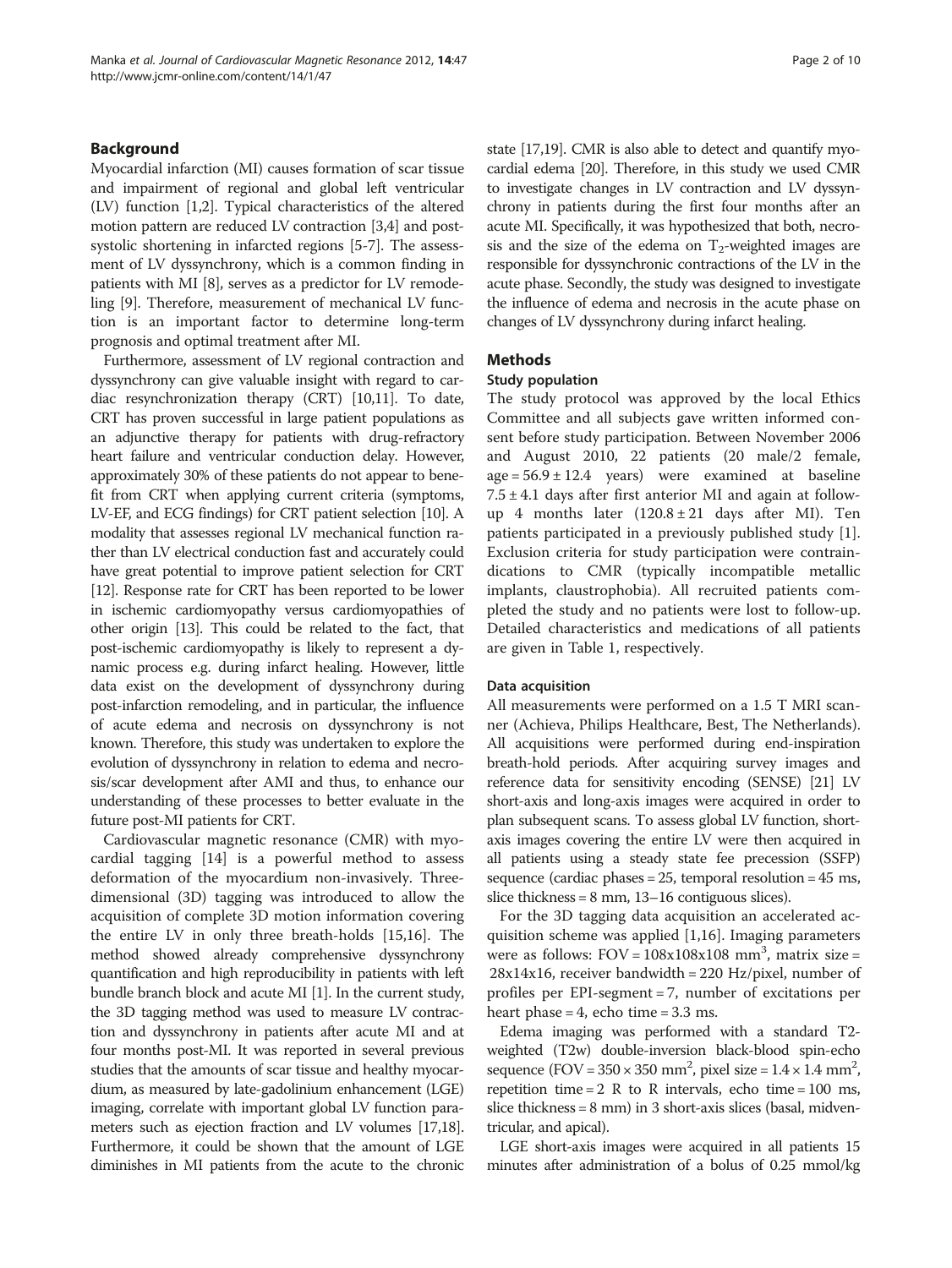## Background

Myocardial infarction (MI) causes formation of scar tissue and impairment of regional and global left ventricular (LV) function [\[1,2](#page-8-0)]. Typical characteristics of the altered motion pattern are reduced LV contraction [\[3,4\]](#page-8-0) and postsystolic shortening in infarcted regions [[5-7](#page-8-0)]. The assessment of LV dyssynchrony, which is a common finding in patients with MI [[8\]](#page-8-0), serves as a predictor for LV remodeling [\[9](#page-8-0)]. Therefore, measurement of mechanical LV function is an important factor to determine long-term prognosis and optimal treatment after MI.

Furthermore, assessment of LV regional contraction and dyssynchrony can give valuable insight with regard to cardiac resynchronization therapy (CRT) [\[10,11\]](#page-9-0). To date, CRT has proven successful in large patient populations as an adjunctive therapy for patients with drug-refractory heart failure and ventricular conduction delay. However, approximately 30% of these patients do not appear to benefit from CRT when applying current criteria (symptoms, LV-EF, and ECG findings) for CRT patient selection [\[10\]](#page-9-0). A modality that assesses regional LV mechanical function rather than LV electrical conduction fast and accurately could have great potential to improve patient selection for CRT [[12](#page-9-0)]. Response rate for CRT has been reported to be lower in ischemic cardiomyopathy versus cardiomyopathies of other origin [[13](#page-9-0)]. This could be related to the fact, that post-ischemic cardiomyopathy is likely to represent a dynamic process e.g. during infarct healing. However, little data exist on the development of dyssynchrony during post-infarction remodeling, and in particular, the influence of acute edema and necrosis on dyssynchrony is not known. Therefore, this study was undertaken to explore the evolution of dyssynchrony in relation to edema and necrosis/scar development after AMI and thus, to enhance our understanding of these processes to better evaluate in the future post-MI patients for CRT.

Cardiovascular magnetic resonance (CMR) with myocardial tagging [\[14](#page-9-0)] is a powerful method to assess deformation of the myocardium non-invasively. Threedimensional (3D) tagging was introduced to allow the acquisition of complete 3D motion information covering the entire LV in only three breath-holds [\[15,16](#page-9-0)]. The method showed already comprehensive dyssynchrony quantification and high reproducibility in patients with left bundle branch block and acute MI [[1\]](#page-8-0). In the current study, the 3D tagging method was used to measure LV contraction and dyssynchrony in patients after acute MI and at four months post-MI. It was reported in several previous studies that the amounts of scar tissue and healthy myocardium, as measured by late-gadolinium enhancement (LGE) imaging, correlate with important global LV function parameters such as ejection fraction and LV volumes [[17,18](#page-9-0)]. Furthermore, it could be shown that the amount of LGE diminishes in MI patients from the acute to the chronic state [[17,19\]](#page-9-0). CMR is also able to detect and quantify myocardial edema [\[20\]](#page-9-0). Therefore, in this study we used CMR to investigate changes in LV contraction and LV dyssynchrony in patients during the first four months after an acute MI. Specifically, it was hypothesized that both, necrosis and the size of the edema on  $T_2$ -weighted images are responsible for dyssynchronic contractions of the LV in the acute phase. Secondly, the study was designed to investigate the influence of edema and necrosis in the acute phase on changes of LV dyssynchrony during infarct healing.

## Methods

#### Study population

The study protocol was approved by the local Ethics Committee and all subjects gave written informed consent before study participation. Between November 2006 and August 2010, 22 patients (20 male/2 female,  $age = 56.9 \pm 12.4$  years) were examined at baseline  $7.5 \pm 4.1$  days after first anterior MI and again at followup 4 months later  $(120.8 \pm 21)$  days after MI). Ten patients participated in a previously published study [\[1](#page-8-0)]. Exclusion criteria for study participation were contraindications to CMR (typically incompatible metallic implants, claustrophobia). All recruited patients completed the study and no patients were lost to follow-up. Detailed characteristics and medications of all patients are given in Table [1,](#page-2-0) respectively.

#### Data acquisition

All measurements were performed on a 1.5 T MRI scanner (Achieva, Philips Healthcare, Best, The Netherlands). All acquisitions were performed during end-inspiration breath-hold periods. After acquiring survey images and reference data for sensitivity encoding (SENSE) [[21](#page-9-0)] LV short-axis and long-axis images were acquired in order to plan subsequent scans. To assess global LV function, shortaxis images covering the entire LV were then acquired in all patients using a steady state fee precession (SSFP) sequence (cardiac phases = 25, temporal resolution = 45 ms, slice thickness = 8 mm, 13–16 contiguous slices).

For the 3D tagging data acquisition an accelerated acquisition scheme was applied [\[1](#page-8-0),[16](#page-9-0)]. Imaging parameters were as follows:  $FOV = 108x108x108$  mm<sup>3</sup>, matrix size = 28x14x16, receiver bandwidth = 220 Hz/pixel, number of profiles per EPI-segment = 7, number of excitations per heart phase  $= 4$ , echo time  $= 3.3$  ms.

Edema imaging was performed with a standard T2 weighted (T2w) double-inversion black-blood spin-echo sequence (FOV =  $350 \times 350$  mm<sup>2</sup>, pixel size =  $1.4 \times 1.4$  mm<sup>2</sup>, repetition time =  $2 \text{ R}$  to R intervals, echo time =  $100 \text{ ms}$ , slice thickness = 8 mm) in 3 short-axis slices (basal, midventricular, and apical).

LGE short-axis images were acquired in all patients 15 minutes after administration of a bolus of 0.25 mmol/kg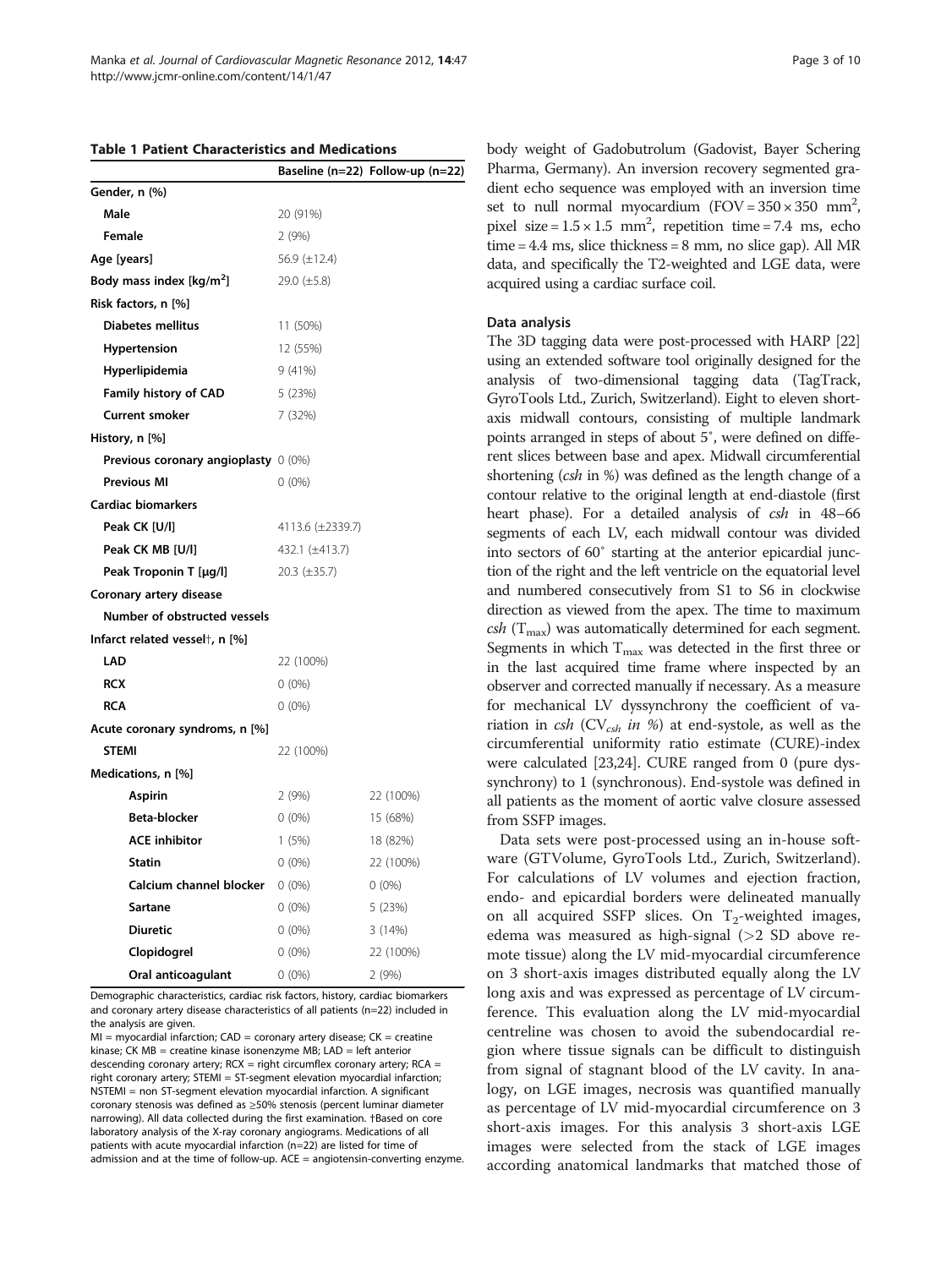<span id="page-2-0"></span>

| <b>Table 1 Patient Characteristics and Medications</b> |  |
|--------------------------------------------------------|--|
|--------------------------------------------------------|--|

|                                             |                     | Baseline (n=22) Follow-up (n=22) |  |
|---------------------------------------------|---------------------|----------------------------------|--|
| Gender, n (%)                               |                     |                                  |  |
| Male                                        | 20 (91%)            |                                  |  |
| Female                                      | 2(9%)               |                                  |  |
| Age [years]                                 | 56.9 (±12.4)        |                                  |  |
| Body mass index [kg/m <sup>2</sup> ]        | 29.0 $(\pm 5.8)$    |                                  |  |
| Risk factors, n [%]                         |                     |                                  |  |
| <b>Diabetes mellitus</b>                    | 11 (50%)            |                                  |  |
| <b>Hypertension</b>                         | 12 (55%)            |                                  |  |
| Hyperlipidemia                              | 9(41%)              |                                  |  |
| Family history of CAD                       | 5(23%)              |                                  |  |
| <b>Current smoker</b>                       | 7 (32%)             |                                  |  |
| History, n [%]                              |                     |                                  |  |
| <b>Previous coronary angioplasty</b> 0 (0%) |                     |                                  |  |
| <b>Previous MI</b>                          | $0(0\%)$            |                                  |  |
| <b>Cardiac biomarkers</b>                   |                     |                                  |  |
| Peak CK [U/l]                               | 4113.6 (±2339.7)    |                                  |  |
| Peak CK MB [U/l]                            | 432.1 (±413.7)      |                                  |  |
| Peak Troponin T [µg/l]                      | $20.3 \ (\pm 35.7)$ |                                  |  |
| Coronary artery disease                     |                     |                                  |  |
| Number of obstructed vessels                |                     |                                  |  |
| Infarct related vessel <sup>+</sup> , n [%] |                     |                                  |  |
| LAD                                         | 22 (100%)           |                                  |  |
| <b>RCX</b>                                  | $0(0\%)$            |                                  |  |
| <b>RCA</b>                                  | $0(0\%)$            |                                  |  |
| Acute coronary syndroms, n [%]              |                     |                                  |  |
| <b>STEMI</b>                                | 22 (100%)           |                                  |  |
| Medications, n [%]                          |                     |                                  |  |
| <b>Aspirin</b>                              | 2(9%)               | 22 (100%)                        |  |
| Beta-blocker                                | $0(0\%)$            | 15 (68%)                         |  |
| <b>ACE inhibitor</b>                        | 1(5%)               | 18 (82%)                         |  |
| <b>Statin</b>                               | $0(0\%)$            | 22 (100%)                        |  |
| Calcium channel blocker                     | $0(0\%)$            | $0(0\%)$                         |  |
| Sartane                                     | $0(0\%)$            | 5(23%)                           |  |
| <b>Diuretic</b>                             | $0(0\%)$            | 3(14%)                           |  |
| Clopidogrel                                 | $0(0\%)$            | 22 (100%)                        |  |
| Oral anticoagulant                          | $0(0\%)$            | 2 (9%)                           |  |

Demographic characteristics, cardiac risk factors, history, cardiac biomarkers and coronary artery disease characteristics of all patients (n=22) included in the analysis are given.

 $MI = myocardial infarction$ ;  $CAD = coronary artery disease$ ;  $CK = creatine$ kinase; CK MB = creatine kinase isonenzyme MB; LAD = left anterior descending coronary artery; RCX = right circumflex coronary artery; RCA = right coronary artery; STEMI = ST-segment elevation myocardial infarction; NSTEMI = non ST-segment elevation myocardial infarction. A significant coronary stenosis was defined as ≥50% stenosis (percent luminar diameter narrowing). All data collected during the first examination. †Based on core laboratory analysis of the X-ray coronary angiograms. Medications of all patients with acute myocardial infarction (n=22) are listed for time of admission and at the time of follow-up. ACE = angiotensin-converting enzyme. body weight of Gadobutrolum (Gadovist, Bayer Schering Pharma, Germany). An inversion recovery segmented gradient echo sequence was employed with an inversion time set to null normal myocardium (FOV =  $350 \times 350$  mm<sup>2</sup>, pixel size =  $1.5 \times 1.5$  mm<sup>2</sup>, repetition time = 7.4 ms, echo time =  $4.4$  ms, slice thickness =  $8$  mm, no slice gap). All MR data, and specifically the T2-weighted and LGE data, were acquired using a cardiac surface coil.

#### Data analysis

The 3D tagging data were post-processed with HARP [\[22](#page-9-0)] using an extended software tool originally designed for the analysis of two-dimensional tagging data (TagTrack, GyroTools Ltd., Zurich, Switzerland). Eight to eleven shortaxis midwall contours, consisting of multiple landmark points arranged in steps of about 5˚, were defined on different slices between base and apex. Midwall circumferential shortening (csh in %) was defined as the length change of a contour relative to the original length at end-diastole (first heart phase). For a detailed analysis of csh in 48-66 segments of each LV, each midwall contour was divided into sectors of 60˚ starting at the anterior epicardial junction of the right and the left ventricle on the equatorial level and numbered consecutively from S1 to S6 in clockwise direction as viewed from the apex. The time to maximum  $csh$  (T<sub>max</sub>) was automatically determined for each segment. Segments in which  $T_{\text{max}}$  was detected in the first three or in the last acquired time frame where inspected by an observer and corrected manually if necessary. As a measure for mechanical LV dyssynchrony the coefficient of variation in csh (CV<sub>csh</sub> in %) at end-systole, as well as the circumferential uniformity ratio estimate (CURE)-index were calculated [\[23,24\]](#page-9-0). CURE ranged from 0 (pure dyssynchrony) to 1 (synchronous). End-systole was defined in all patients as the moment of aortic valve closure assessed from SSFP images.

Data sets were post-processed using an in-house software (GTVolume, GyroTools Ltd., Zurich, Switzerland). For calculations of LV volumes and ejection fraction, endo- and epicardial borders were delineated manually on all acquired SSFP slices. On  $T_2$ -weighted images, edema was measured as high-signal  $(>2$  SD above remote tissue) along the LV mid-myocardial circumference on 3 short-axis images distributed equally along the LV long axis and was expressed as percentage of LV circumference. This evaluation along the LV mid-myocardial centreline was chosen to avoid the subendocardial region where tissue signals can be difficult to distinguish from signal of stagnant blood of the LV cavity. In analogy, on LGE images, necrosis was quantified manually as percentage of LV mid-myocardial circumference on 3 short-axis images. For this analysis 3 short-axis LGE images were selected from the stack of LGE images according anatomical landmarks that matched those of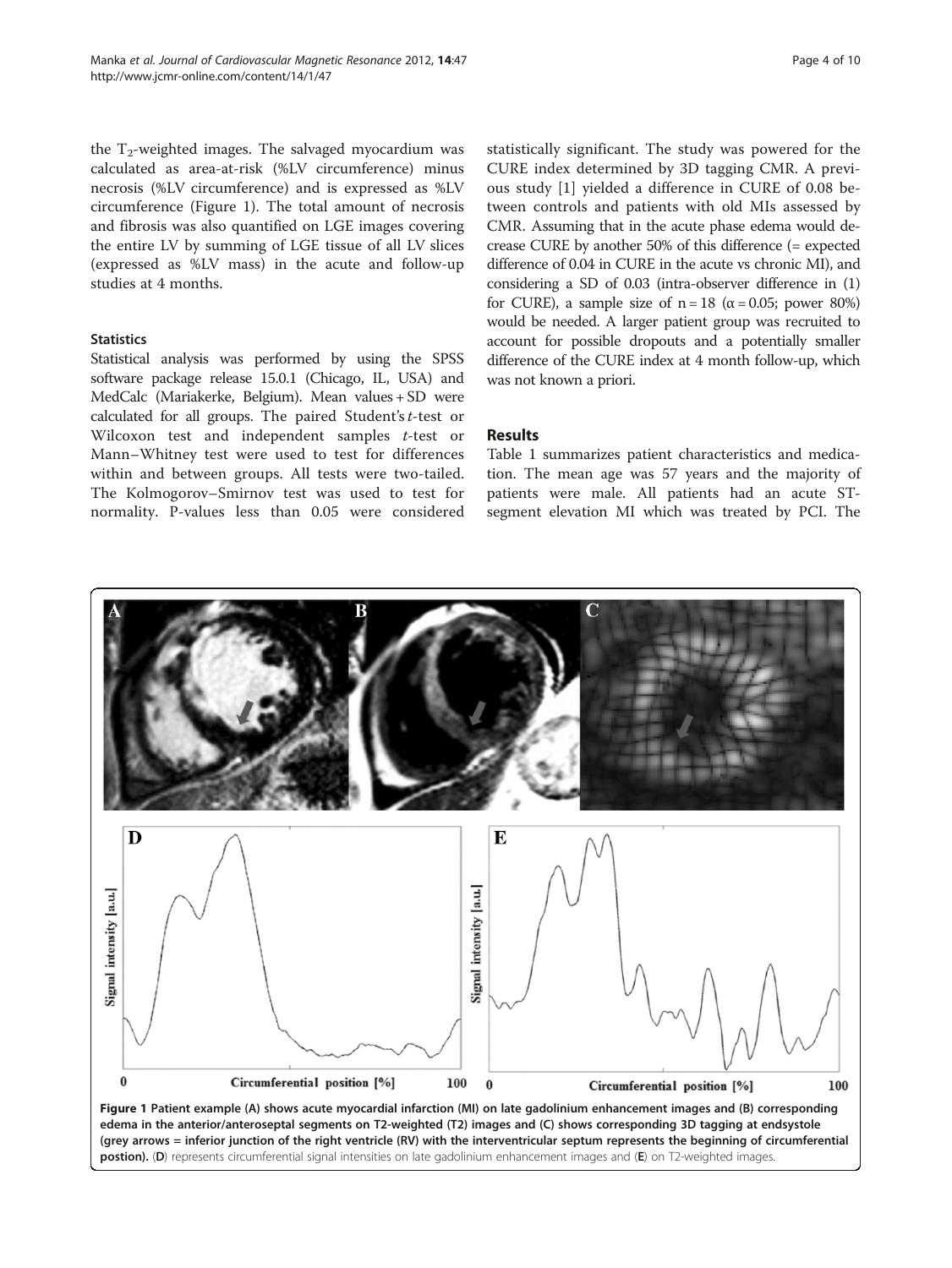the  $T_2$ -weighted images. The salvaged myocardium was calculated as area-at-risk (%LV circumference) minus necrosis (%LV circumference) and is expressed as %LV circumference (Figure 1). The total amount of necrosis and fibrosis was also quantified on LGE images covering the entire LV by summing of LGE tissue of all LV slices (expressed as %LV mass) in the acute and follow-up studies at 4 months.

## **Statistics**

Statistical analysis was performed by using the SPSS software package release 15.0.1 (Chicago, IL, USA) and MedCalc (Mariakerke, Belgium). Mean values + SD were calculated for all groups. The paired Student's  $t$ -test or Wilcoxon test and independent samples *t*-test or Mann–Whitney test were used to test for differences within and between groups. All tests were two-tailed. The Kolmogorov–Smirnov test was used to test for normality. P-values less than 0.05 were considered statistically significant. The study was powered for the CURE index determined by 3D tagging CMR. A previous study [\[1](#page-8-0)] yielded a difference in CURE of 0.08 between controls and patients with old MIs assessed by CMR. Assuming that in the acute phase edema would decrease CURE by another 50% of this difference (= expected difference of 0.04 in CURE in the acute vs chronic MI), and considering a SD of 0.03 (intra-observer difference in (1) for CURE), a sample size of  $n = 18$  ( $\alpha = 0.05$ ; power 80%) would be needed. A larger patient group was recruited to account for possible dropouts and a potentially smaller difference of the CURE index at 4 month follow-up, which was not known a priori.

## Results

Table [1](#page-2-0) summarizes patient characteristics and medication. The mean age was 57 years and the majority of patients were male. All patients had an acute STsegment elevation MI which was treated by PCI. The

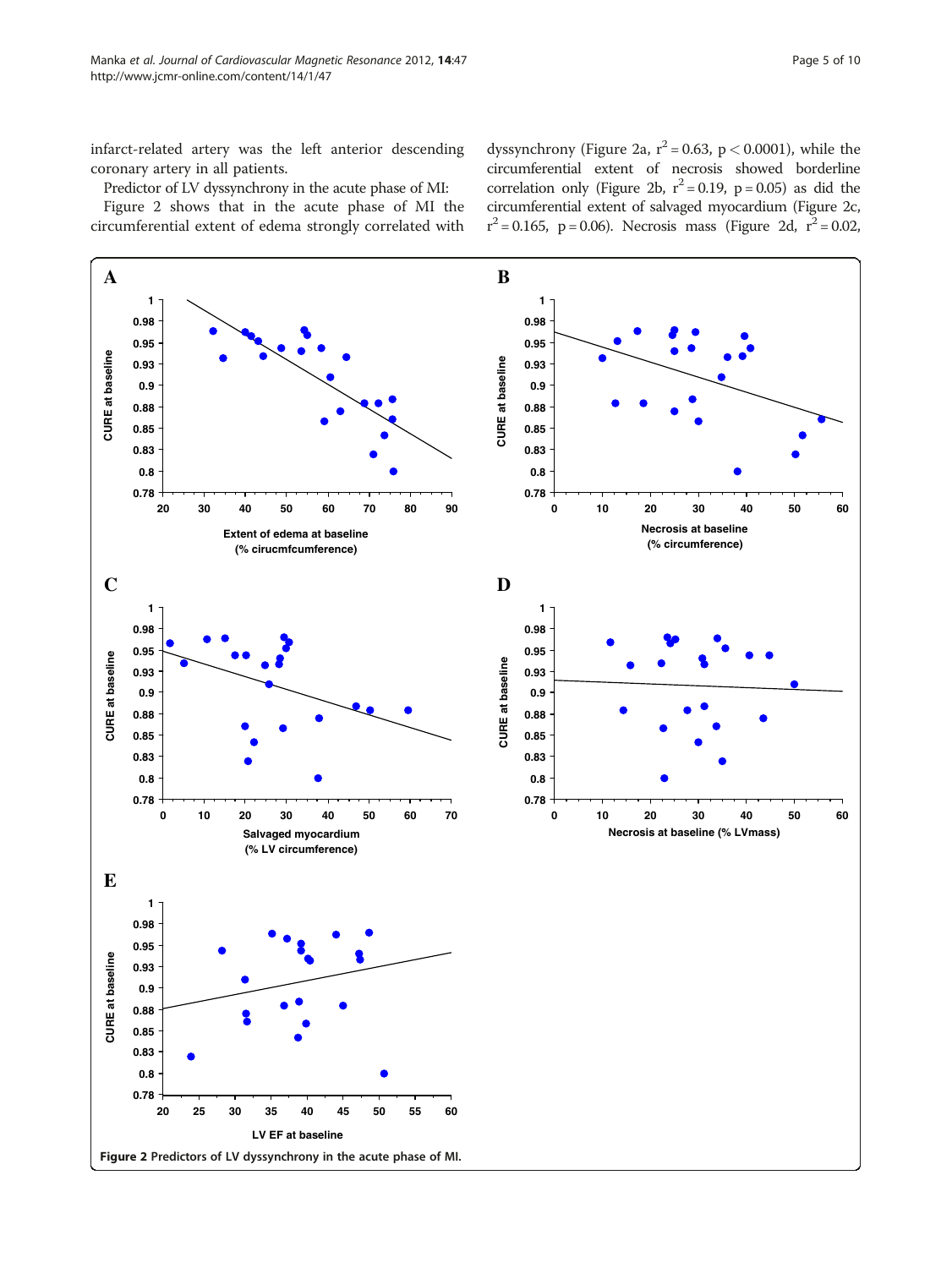<span id="page-4-0"></span>infarct-related artery was the left anterior descending coronary artery in all patients.

Predictor of LV dyssynchrony in the acute phase of MI:

Figure 2 shows that in the acute phase of MI the circumferential extent of edema strongly correlated with dyssynchrony (Figure 2a,  $r^2$  = 0.63, p < 0.0001), while the circumferential extent of necrosis showed borderline correlation only (Figure 2b,  $r^2 = 0.19$ , p = 0.05) as did the circumferential extent of salvaged myocardium (Figure 2c,  $r^2 = 0.165$ , p = 0.06). Necrosis mass (Figure 2d,  $r^2 = 0.02$ ,

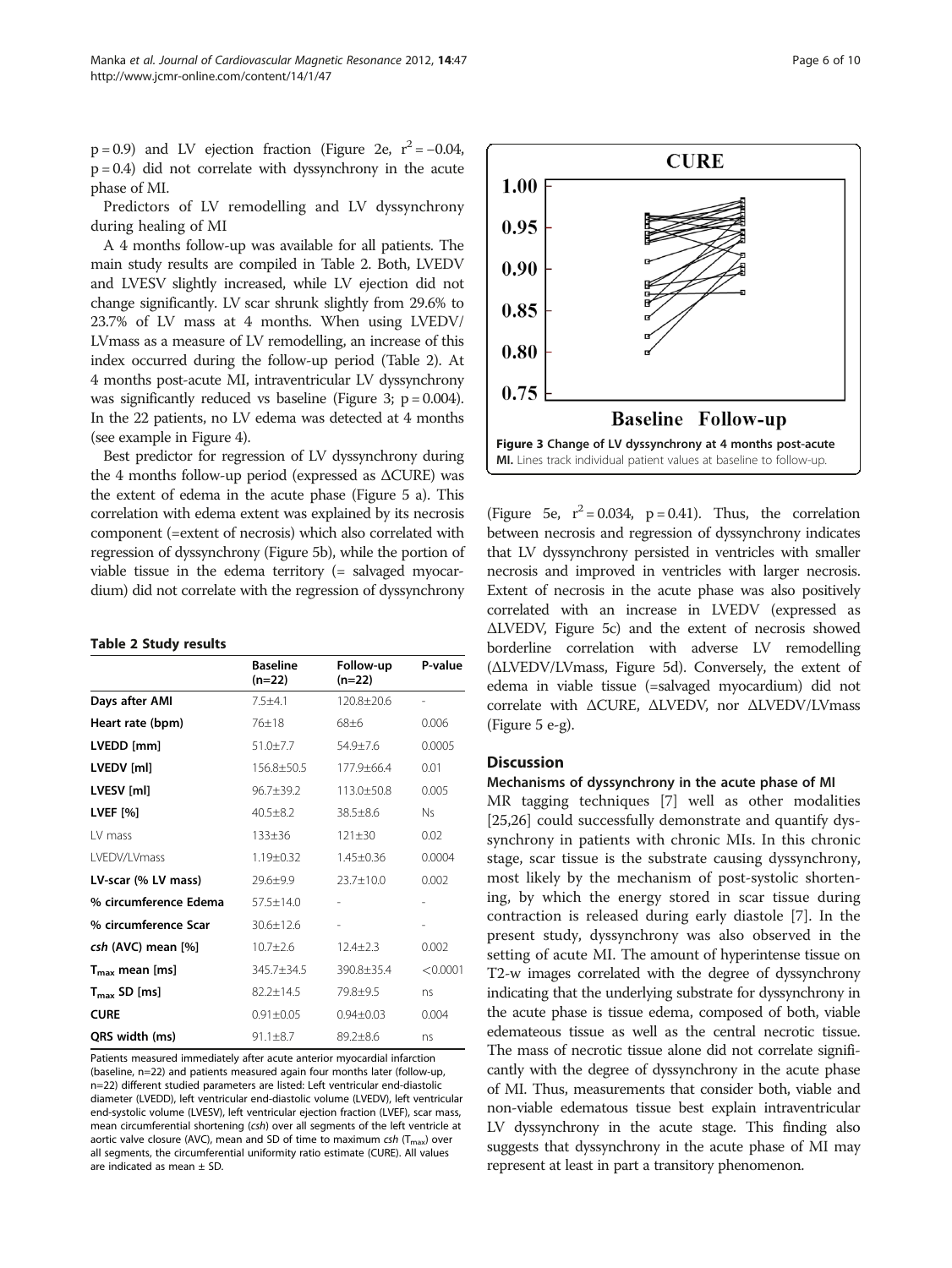<span id="page-5-0"></span>p = 0.9) and LV ejection fraction (Figure 2e,  $r^2 = -0.04$ ,  $p = 0.4$ ) did not correlate with dyssynchrony in the acute phase of MI.

Predictors of LV remodelling and LV dyssynchrony during healing of MI

A 4 months follow-up was available for all patients. The main study results are compiled in Table 2. Both, LVEDV and LVESV slightly increased, while LV ejection did not change significantly. LV scar shrunk slightly from 29.6% to 23.7% of LV mass at 4 months. When using LVEDV/ LVmass as a measure of LV remodelling, an increase of this index occurred during the follow-up period (Table 2). At 4 months post-acute MI, intraventricular LV dyssynchrony was significantly reduced vs baseline (Figure 3;  $p = 0.004$ ). In the 22 patients, no LV edema was detected at 4 months (see example in Figure [4\)](#page-6-0).

Best predictor for regression of LV dyssynchrony during the 4 months follow-up period (expressed as ΔCURE) was the extent of edema in the acute phase (Figure [5](#page-7-0) a). This correlation with edema extent was explained by its necrosis component (=extent of necrosis) which also correlated with regression of dyssynchrony (Figure [5b](#page-7-0)), while the portion of viable tissue in the edema territory (= salvaged myocardium) did not correlate with the regression of dyssynchrony

#### Table 2 Study results

|                            | <b>Baseline</b><br>$(n=22)$ | Follow-up<br>(n=22) | P-value  |
|----------------------------|-----------------------------|---------------------|----------|
| Days after AMI             | $7.5 + 4.1$                 | $120.8 + 20.6$      | ٠        |
| Heart rate (bpm)           | $76+18$                     | 68+6                | 0.006    |
| LVEDD [mm]                 | $51.0 + 7.7$                | $54.9 + 7.6$        | 0.0005   |
| LVEDV [ml]                 | 156.8±50.5                  | $177.9 + 66.4$      | 0.01     |
| LVESV [ml]                 | $96.7 + 39.2$               | $113.0 + 50.8$      | 0.005    |
| LVEF [%]                   | $40.5 + 8.2$                | $38.5 + 8.6$        | Ns.      |
| IV mass                    | $133 + 36$                  | $121 + 30$          | 0.02     |
| I VFDV/I Vmass             | $1.19 \pm 0.32$             | $1.45 + 0.36$       | 0.0004   |
| LV-scar (% LV mass)        | $79.6 + 9.9$                | $23.7 + 10.0$       | 0.002    |
| % circumference Edema      | $57.5 + 14.0$               |                     |          |
| % circumference Scar       | $30.6 + 12.6$               |                     |          |
| csh (AVC) mean [%]         | $10.7 + 2.6$                | $12.4 + 2.3$        | 0.002    |
| $T_{\text{max}}$ mean [ms] | $345.7 + 34.5$              | 390.8+35.4          | < 0.0001 |
| $T_{\rm max}$ SD [ms]      | $82.2 \pm 14.5$             | 79.8+9.5            | ns       |
| <b>CURE</b>                | $0.91 + 0.05$               | $0.94 + 0.03$       | 0.004    |
| QRS width (ms)             | $91.1 + 8.7$                | $89.2 + 8.6$        | ns       |

Patients measured immediately after acute anterior myocardial infarction (baseline, n=22) and patients measured again four months later (follow-up, n=22) different studied parameters are listed: Left ventricular end-diastolic diameter (LVEDD), left ventricular end-diastolic volume (LVEDV), left ventricular end-systolic volume (LVESV), left ventricular ejection fraction (LVEF), scar mass, mean circumferential shortening (csh) over all segments of the left ventricle at aortic valve closure (AVC), mean and SD of time to maximum  $csh$  (T<sub>max</sub>) over all segments, the circumferential uniformity ratio estimate (CURE). All values are indicated as mean  $\pm$  SD.



(Figure 5e,  $r^2 = 0.034$ ,  $p = 0.41$ ). Thus, the correlation between necrosis and regression of dyssynchrony indicates that LV dyssynchrony persisted in ventricles with smaller necrosis and improved in ventricles with larger necrosis. Extent of necrosis in the acute phase was also positively correlated with an increase in LVEDV (expressed as ΔLVEDV, Figure [5c\)](#page-7-0) and the extent of necrosis showed borderline correlation with adverse LV remodelling (ΔLVEDV/LVmass, Figure [5d\)](#page-7-0). Conversely, the extent of edema in viable tissue (=salvaged myocardium) did not correlate with ΔCURE, ΔLVEDV, nor ΔLVEDV/LVmass (Figure [5](#page-7-0) e-g).

## **Discussion**

#### Mechanisms of dyssynchrony in the acute phase of MI

MR tagging techniques [\[7](#page-8-0)] well as other modalities [[25,26\]](#page-9-0) could successfully demonstrate and quantify dyssynchrony in patients with chronic MIs. In this chronic stage, scar tissue is the substrate causing dyssynchrony, most likely by the mechanism of post-systolic shortening, by which the energy stored in scar tissue during contraction is released during early diastole [[7\]](#page-8-0). In the present study, dyssynchrony was also observed in the setting of acute MI. The amount of hyperintense tissue on T2-w images correlated with the degree of dyssynchrony indicating that the underlying substrate for dyssynchrony in the acute phase is tissue edema, composed of both, viable edemateous tissue as well as the central necrotic tissue. The mass of necrotic tissue alone did not correlate significantly with the degree of dyssynchrony in the acute phase of MI. Thus, measurements that consider both, viable and non-viable edematous tissue best explain intraventricular LV dyssynchrony in the acute stage. This finding also suggests that dyssynchrony in the acute phase of MI may represent at least in part a transitory phenomenon.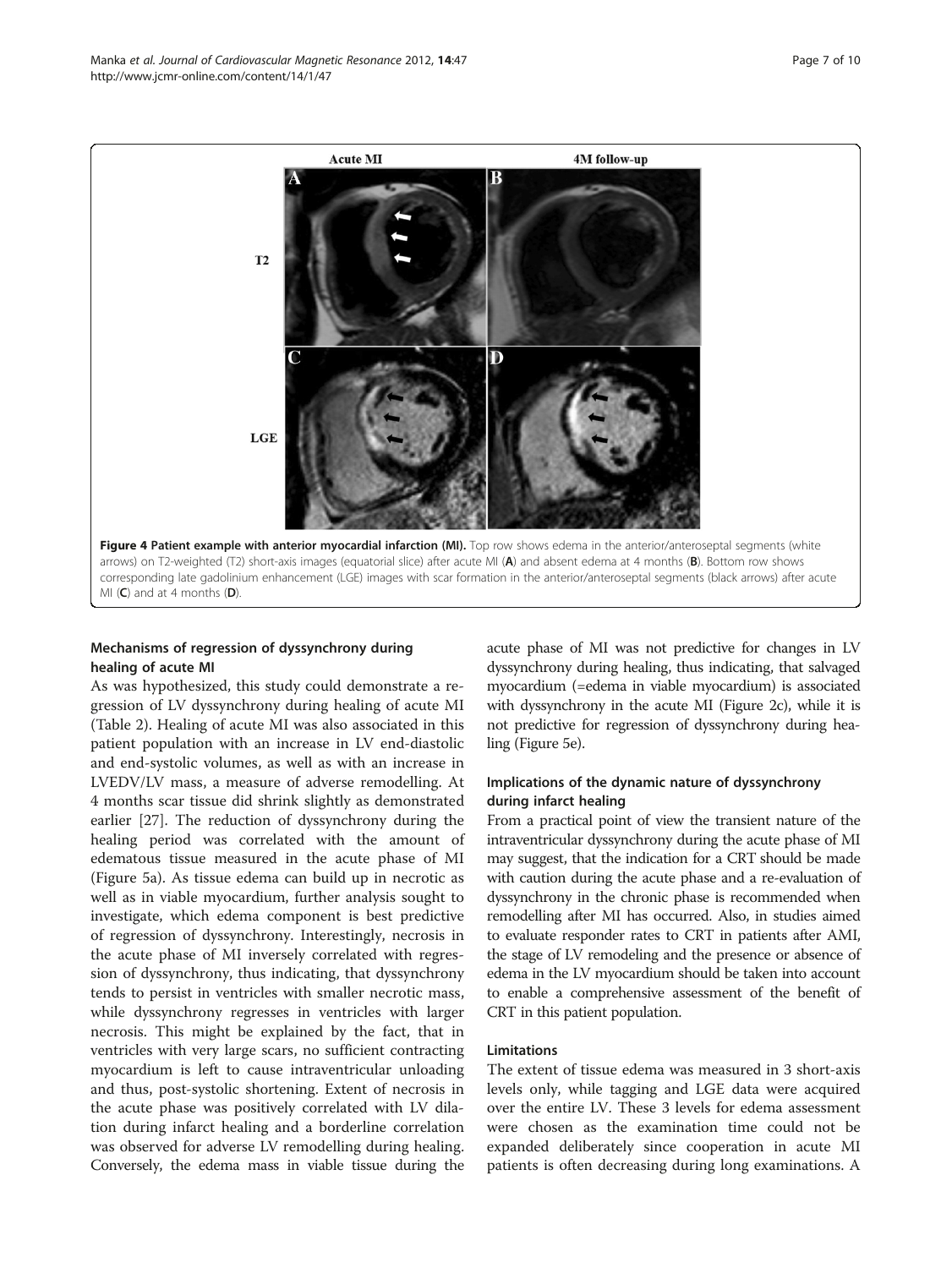<span id="page-6-0"></span>

## Mechanisms of regression of dyssynchrony during healing of acute MI

As was hypothesized, this study could demonstrate a regression of LV dyssynchrony during healing of acute MI (Table [2\)](#page-5-0). Healing of acute MI was also associated in this patient population with an increase in LV end-diastolic and end-systolic volumes, as well as with an increase in LVEDV/LV mass, a measure of adverse remodelling. At 4 months scar tissue did shrink slightly as demonstrated earlier [\[27\]](#page-9-0). The reduction of dyssynchrony during the healing period was correlated with the amount of edematous tissue measured in the acute phase of MI (Figure [5a](#page-7-0)). As tissue edema can build up in necrotic as well as in viable myocardium, further analysis sought to investigate, which edema component is best predictive of regression of dyssynchrony. Interestingly, necrosis in the acute phase of MI inversely correlated with regression of dyssynchrony, thus indicating, that dyssynchrony tends to persist in ventricles with smaller necrotic mass, while dyssynchrony regresses in ventricles with larger necrosis. This might be explained by the fact, that in ventricles with very large scars, no sufficient contracting myocardium is left to cause intraventricular unloading and thus, post-systolic shortening. Extent of necrosis in the acute phase was positively correlated with LV dilation during infarct healing and a borderline correlation was observed for adverse LV remodelling during healing. Conversely, the edema mass in viable tissue during the

acute phase of MI was not predictive for changes in LV dyssynchrony during healing, thus indicating, that salvaged myocardium (=edema in viable myocardium) is associated with dyssynchrony in the acute MI (Figure [2c](#page-4-0)), while it is not predictive for regression of dyssynchrony during healing (Figure [5e](#page-7-0)).

## Implications of the dynamic nature of dyssynchrony during infarct healing

From a practical point of view the transient nature of the intraventricular dyssynchrony during the acute phase of MI may suggest, that the indication for a CRT should be made with caution during the acute phase and a re-evaluation of dyssynchrony in the chronic phase is recommended when remodelling after MI has occurred. Also, in studies aimed to evaluate responder rates to CRT in patients after AMI, the stage of LV remodeling and the presence or absence of edema in the LV myocardium should be taken into account to enable a comprehensive assessment of the benefit of CRT in this patient population.

## Limitations

The extent of tissue edema was measured in 3 short-axis levels only, while tagging and LGE data were acquired over the entire LV. These 3 levels for edema assessment were chosen as the examination time could not be expanded deliberately since cooperation in acute MI patients is often decreasing during long examinations. A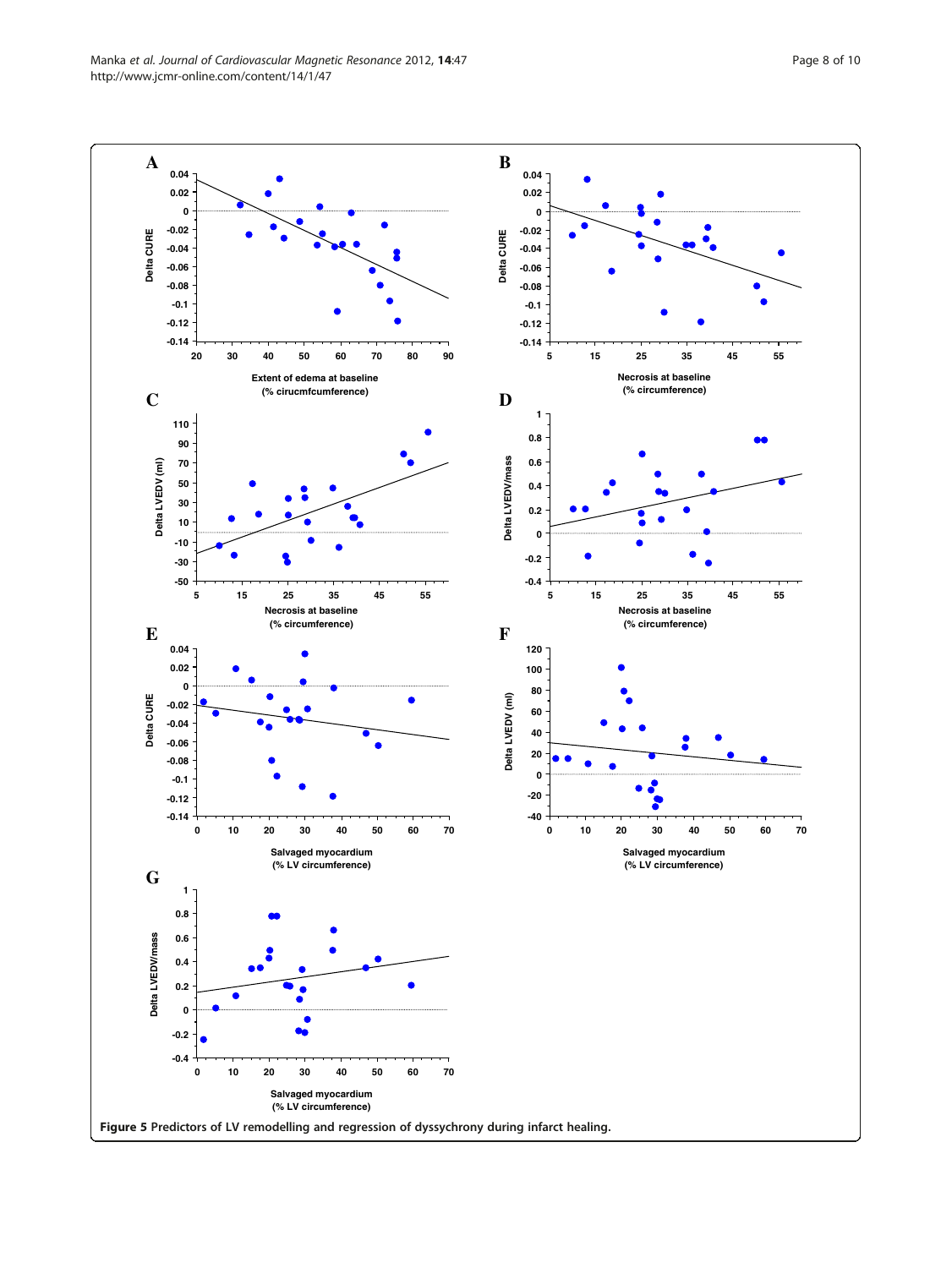<span id="page-7-0"></span>Manka et al. Journal of Cardiovascular Magnetic Resonance 2012, 14:47 Page 8 of 10 http://www.jcmr-online.com/content/14/1/47

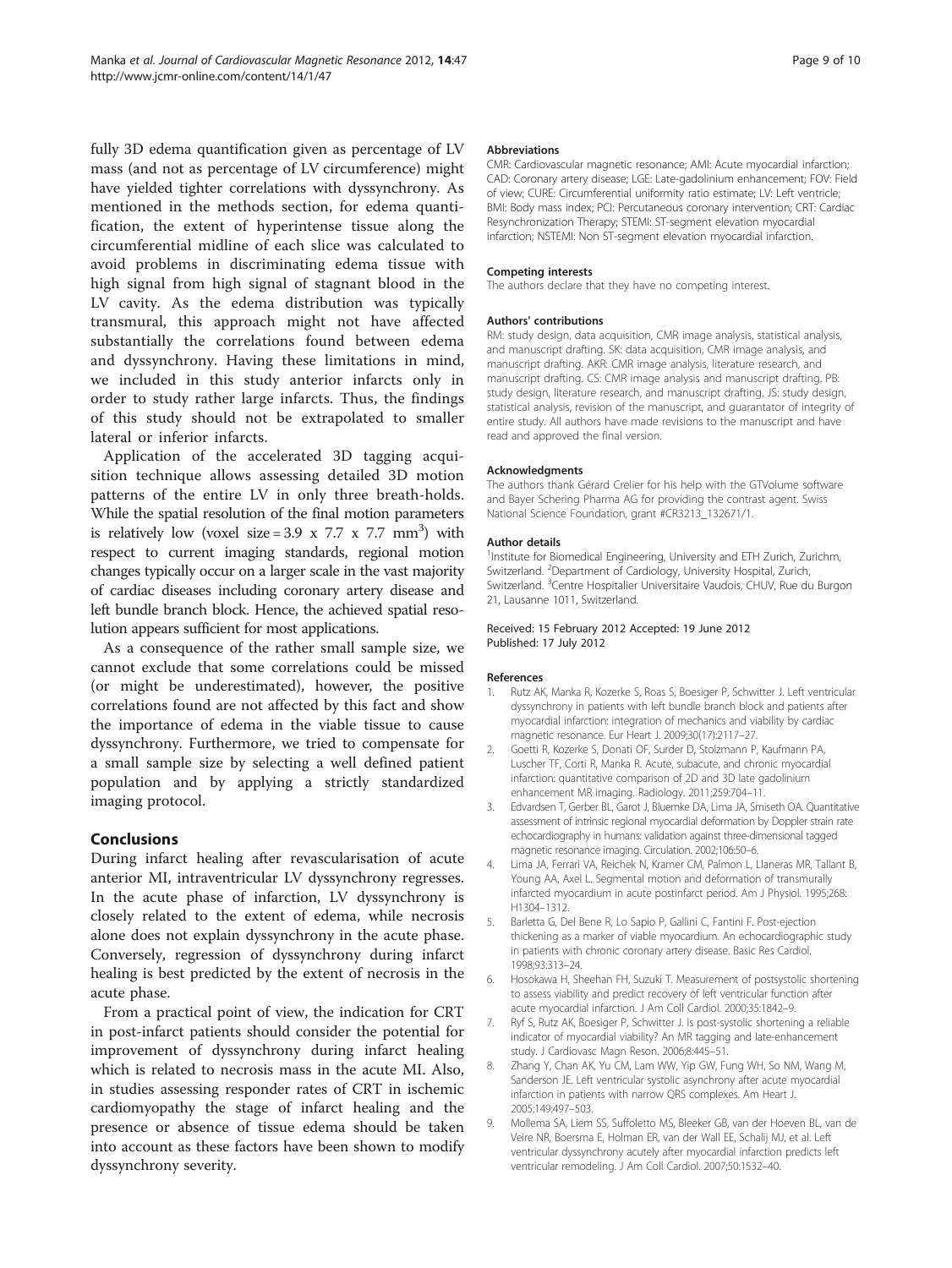<span id="page-8-0"></span>fully 3D edema quantification given as percentage of LV mass (and not as percentage of LV circumference) might have yielded tighter correlations with dyssynchrony. As mentioned in the methods section, for edema quantification, the extent of hyperintense tissue along the circumferential midline of each slice was calculated to avoid problems in discriminating edema tissue with high signal from high signal of stagnant blood in the LV cavity. As the edema distribution was typically transmural, this approach might not have affected substantially the correlations found between edema and dyssynchrony. Having these limitations in mind, we included in this study anterior infarcts only in order to study rather large infarcts. Thus, the findings of this study should not be extrapolated to smaller lateral or inferior infarcts.

Application of the accelerated 3D tagging acquisition technique allows assessing detailed 3D motion patterns of the entire LV in only three breath-holds. While the spatial resolution of the final motion parameters is relatively low (voxel size =  $3.9 \times 7.7 \times 7.7 \text{ mm}^3$ ) with respect to current imaging standards, regional motion changes typically occur on a larger scale in the vast majority of cardiac diseases including coronary artery disease and left bundle branch block. Hence, the achieved spatial resolution appears sufficient for most applications.

As a consequence of the rather small sample size, we cannot exclude that some correlations could be missed (or might be underestimated), however, the positive correlations found are not affected by this fact and show the importance of edema in the viable tissue to cause dyssynchrony. Furthermore, we tried to compensate for a small sample size by selecting a well defined patient population and by applying a strictly standardized imaging protocol.

## Conclusions

During infarct healing after revascularisation of acute anterior MI, intraventricular LV dyssynchrony regresses. In the acute phase of infarction, LV dyssynchrony is closely related to the extent of edema, while necrosis alone does not explain dyssynchrony in the acute phase. Conversely, regression of dyssynchrony during infarct healing is best predicted by the extent of necrosis in the acute phase.

From a practical point of view, the indication for CRT in post-infarct patients should consider the potential for improvement of dyssynchrony during infarct healing which is related to necrosis mass in the acute MI. Also, in studies assessing responder rates of CRT in ischemic cardiomyopathy the stage of infarct healing and the presence or absence of tissue edema should be taken into account as these factors have been shown to modify dyssynchrony severity.

#### **Abbreviations**

CMR: Cardiovascular magnetic resonance; AMI: Acute myocardial infarction; CAD: Coronary artery disease; LGE: Late-gadolinium enhancement; FOV: Field of view; CURE: Circumferential uniformity ratio estimate; LV: Left ventricle; BMI: Body mass index; PCI: Percutaneous coronary intervention; CRT: Cardiac Resynchronization Therapy; STEMI: ST-segment elevation myocardial infarction; NSTEMI: Non ST-segment elevation myocardial infarction.

#### Competing interests

The authors declare that they have no competing interest.

#### Authors' contributions

RM: study design, data acquisition, CMR image analysis, statistical analysis, and manuscript drafting. SK: data acquisition, CMR image analysis, and manuscript drafting. AKR: CMR image analysis, literature research, and manuscript drafting. CS: CMR image analysis and manuscript drafting. PB: study design, literature research, and manuscript drafting. JS: study design, statistical analysis, revision of the manuscript, and guarantator of integrity of entire study. All authors have made revisions to the manuscript and have read and approved the final version.

#### Acknowledgments

The authors thank Gérard Crelier for his help with the GTVolume software and Bayer Schering Pharma AG for providing the contrast agent. Swiss National Science Foundation, grant #CR3213\_132671/1.

#### Author details

<sup>1</sup>Institute for Biomedical Engineering, University and ETH Zurich, Zurichm Switzerland. <sup>2</sup>Department of Cardiology, University Hospital, Zurich Switzerland. <sup>3</sup>Centre Hospitalier Universitaire Vaudois, CHUV, Rue du Burgon 21, Lausanne 1011, Switzerland.

#### Received: 15 February 2012 Accepted: 19 June 2012 Published: 17 July 2012

#### References

- Rutz AK, Manka R, Kozerke S, Roas S, Boesiger P, Schwitter J. Left ventricular dyssynchrony in patients with left bundle branch block and patients after myocardial infarction: integration of mechanics and viability by cardiac magnetic resonance. Eur Heart J. 2009;30(17):2117–27.
- 2. Goetti R, Kozerke S, Donati OF, Surder D, Stolzmann P, Kaufmann PA, Luscher TF, Corti R, Manka R. Acute, subacute, and chronic myocardial infarction: quantitative comparison of 2D and 3D late gadolinium enhancement MR imaging. Radiology. 2011;259:704–11.
- 3. Edvardsen T, Gerber BL, Garot J, Bluemke DA, Lima JA, Smiseth OA. Quantitative assessment of intrinsic regional myocardial deformation by Doppler strain rate echocardiography in humans: validation against three-dimensional tagged magnetic resonance imaging. Circulation. 2002;106:50–6.
- 4. Lima JA, Ferrari VA, Reichek N, Kramer CM, Palmon L, Llaneras MR, Tallant B, Young AA, Axel L. Segmental motion and deformation of transmurally infarcted myocardium in acute postinfarct period. Am J Physiol. 1995;268: H1304–1312.
- 5. Barletta G, Del Bene R, Lo Sapio P, Gallini C, Fantini F. Post-ejection thickening as a marker of viable myocardium. An echocardiographic study in patients with chronic coronary artery disease. Basic Res Cardiol. 1998;93:313–24.
- 6. Hosokawa H, Sheehan FH, Suzuki T. Measurement of postsystolic shortening to assess viability and predict recovery of left ventricular function after acute myocardial infarction. J Am Coll Cardiol. 2000;35:1842–9.
- 7. Ryf S, Rutz AK, Boesiger P, Schwitter J. Is post-systolic shortening a reliable indicator of myocardial viability? An MR tagging and late-enhancement study. J Cardiovasc Magn Reson. 2006;8:445–51.
- 8. Zhang Y, Chan AK, Yu CM, Lam WW, Yip GW, Fung WH, So NM, Wang M, Sanderson JE. Left ventricular systolic asynchrony after acute myocardial infarction in patients with narrow QRS complexes. Am Heart J. 2005;149:497–503.
- 9. Mollema SA, Liem SS, Suffoletto MS, Bleeker GB, van der Hoeven BL, van de Veire NR, Boersma E, Holman ER, van der Wall EE, Schalij MJ, et al. Left ventricular dyssynchrony acutely after myocardial infarction predicts left ventricular remodeling. J Am Coll Cardiol. 2007;50:1532–40.